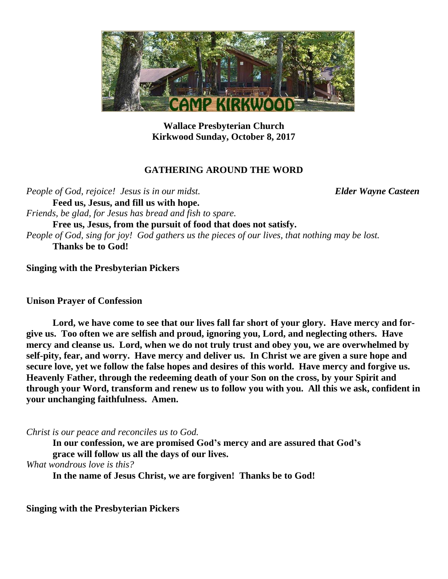

**Wallace Presbyterian Church Kirkwood Sunday, October 8, 2017**

#### **GATHERING AROUND THE WORD**

*People of God, rejoice! Jesus is in our midst. Elder Wayne Casteen* **Feed us, Jesus, and fill us with hope.** *Friends, be glad, for Jesus has bread and fish to spare.* **Free us, Jesus, from the pursuit of food that does not satisfy.** *People of God, sing for joy! God gathers us the pieces of our lives, that nothing may be lost.* **Thanks be to God!**

**Singing with the Presbyterian Pickers**

**Unison Prayer of Confession**

**Lord, we have come to see that our lives fall far short of your glory. Have mercy and forgive us. Too often we are selfish and proud, ignoring you, Lord, and neglecting others. Have mercy and cleanse us. Lord, when we do not truly trust and obey you, we are overwhelmed by self-pity, fear, and worry. Have mercy and deliver us. In Christ we are given a sure hope and secure love, yet we follow the false hopes and desires of this world. Have mercy and forgive us. Heavenly Father, through the redeeming death of your Son on the cross, by your Spirit and through your Word, transform and renew us to follow you with you. All this we ask, confident in your unchanging faithfulness. Amen.**

*Christ is our peace and reconciles us to God.*

**In our confession, we are promised God's mercy and are assured that God's grace will follow us all the days of our lives.**

*What wondrous love is this?*

**In the name of Jesus Christ, we are forgiven! Thanks be to God!**

**Singing with the Presbyterian Pickers**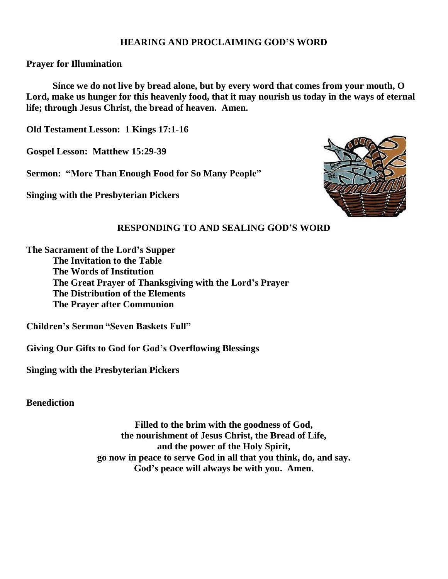### **HEARING AND PROCLAIMING GOD'S WORD**

### **Prayer for Illumination**

**Since we do not live by bread alone, but by every word that comes from your mouth, O** Lord, make us hunger for this heavenly food, that it may nourish us today in the ways of eternal **life; through Jesus Christ, the bread of heaven. Amen.**

**Old Testament Lesson: 1 Kings 17:1-16**

**Gospel Lesson: Matthew 15:29-39**

**Sermon: "More Than Enough Food for So Many People"**

**Singing with the Presbyterian Pickers**



### **RESPONDING TO AND SEALING GOD'S WORD**

**The Sacrament of the Lord's Supper**

**The Invitation to the Table The Words of Institution The Great Prayer of Thanksgiving with the Lord's Prayer The Distribution of the Elements The Prayer after Communion**

**Children's Sermon "Seven Baskets Full"**

**Giving Our Gifts to God for God's Overflowing Blessings**

**Singing with the Presbyterian Pickers**

**Benediction**

**Filled to the brim with the goodness of God, the nourishment of Jesus Christ, the Bread of Life, and the power of the Holy Spirit, go now in peace to serve God in all that you think, do, and say. God's peace will always be with you. Amen.**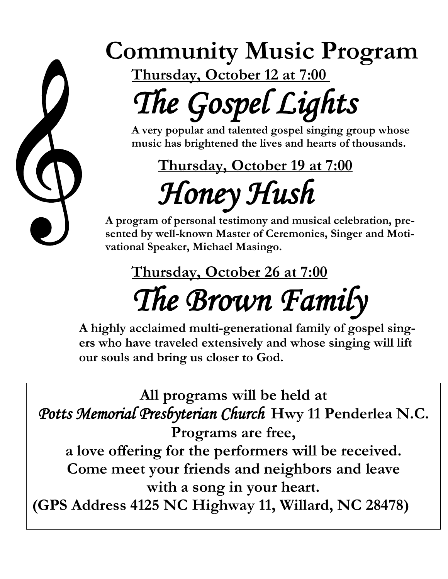

## **Community Music Program**

**Thursday, October 12 at 7:00**

# *The Gospel Lights*

**A very popular and talented gospel singing group whose music has brightened the lives and hearts of thousands.**

**Thursday, October 19 at 7:00** *Honey Hush* 

**A program of personal testimony and musical celebration, presented by well-known Master of Ceremonies, Singer and Motivational Speaker, Michael Masingo.**

### **Thursday, October 26 at 7:00** *The Brown Family*

**A highly acclaimed multi-generational family of gospel singers who have traveled extensively and whose singing will lift our souls and bring us closer to God.**

**All programs will be held at** *Potts Memorial Presbyterian Church* **Hwy 11 Penderlea N.C. Programs are free, a love offering for the performers will be received. Come meet your friends and neighbors and leave with a song in your heart. (GPS Address 4125 NC Highway 11, Willard, NC 28478)**